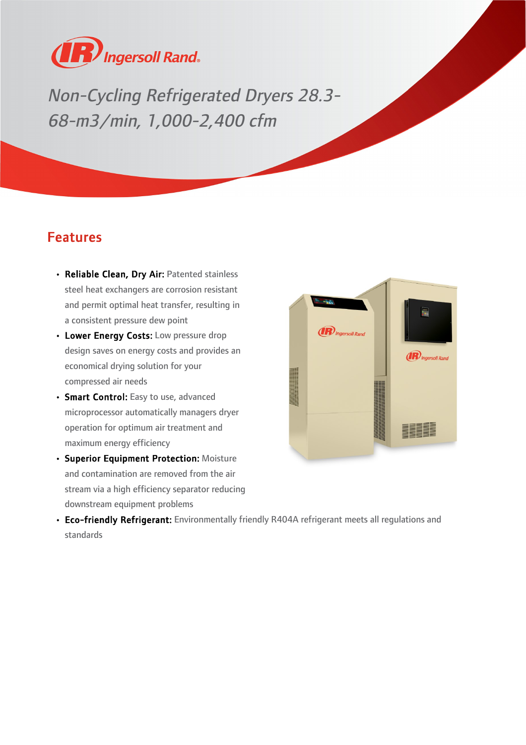

Non-Cycling Refrigerated Dryers 28.3- 68-m3/min, 1,000-2,400 cfm

## Features

- Reliable Clean, Dry Air: Patented stainless steel heat exchangers are corrosion resistant and permit optimal heat transfer, resulting in a consistent pressure dew point
- Lower Energy Costs: Low pressure drop design saves on energy costs and provides an economical drying solution for your compressed air needs
- Smart Control: Easy to use, advanced microprocessor automatically managers dryer operation for optimum air treatment and maximum energy efficiency
- Superior Equipment Protection: Moisture and contamination are removed from the air stream via a high efficiency separator reducing downstream equipment problems



• Eco-friendly Refrigerant: Environmentally friendly R404A refrigerant meets all regulations and standards